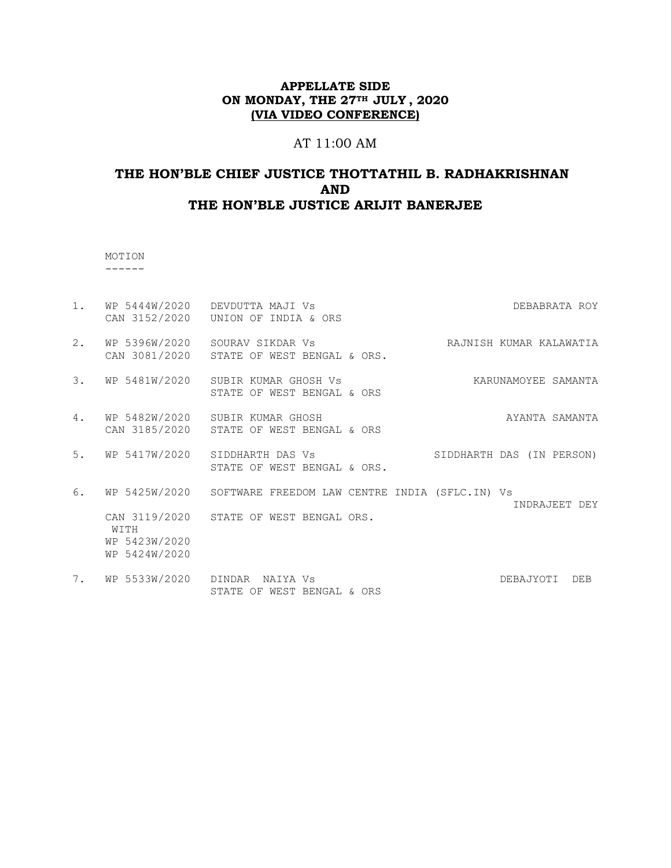### AT 11:00 AM

# **THE HON'BLE CHIEF JUSTICE THOTTATHIL B. RADHAKRISHNAN AND THE HON'BLE JUSTICE ARIJIT BANERJEE**

 MOTION ------

1. WP 5444W/2020 DEVDUTTA MAJI Vs DEBABRATA ROY CAN 3152/2020 UNION OF INDIA & ORS 2. WP 5396W/2020 SOURAV SIKDAR Vs CHARA RAJNISH KUMAR KALAWATIA CAN 3081/2020 STATE OF WEST BENGAL & ORS. 3. WP 5481W/2020 SUBIR KUMAR GHOSH Vs KARUNAMOYEE SAMANTA STATE OF WEST BENGAL & ORS 4. WP 5482W/2020 SUBIR KUMAR GHOSH AYANTA SAMANTA CAN 3185/2020 STATE OF WEST BENGAL & ORS 5. WP 5417W/2020 SIDDHARTH DAS Vs SIDDHARTH DAS (IN PERSON) STATE OF WEST BENGAL & ORS. 6. WP 5425W/2020 SOFTWARE FREEDOM LAW CENTRE INDIA (SFLC.IN) Vs INDRAJEET DEY CAN 3119/2020 STATE OF WEST BENGAL ORS. WITH WP 5423W/2020 WP 5424W/2020 7. WP 5533W/2020 DINDAR NAIYA Vs DEBAJYOTI DEB STATE OF WEST BENGAL & ORS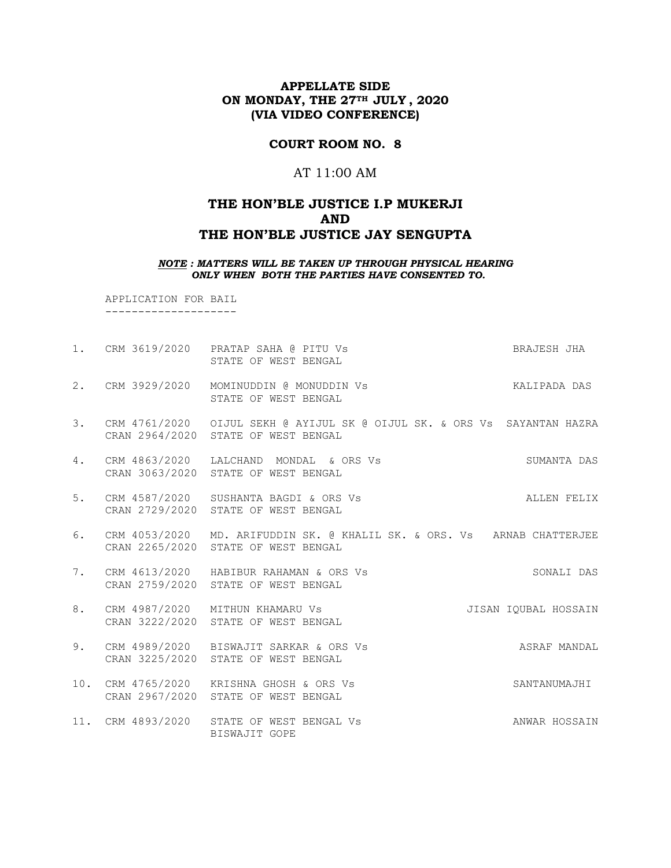### **COURT ROOM NO. 8**

### AT 11:00 AM

# **THE HON'BLE JUSTICE I.P MUKERJI AND THE HON'BLE JUSTICE JAY SENGUPTA**

*NOTE : MATTERS WILL BE TAKEN UP THROUGH PHYSICAL HEARING ONLY WHEN BOTH THE PARTIES HAVE CONSENTED TO.*

 APPLICATION FOR BAIL --------------------

|    | 1. CRM 3619/2020 PRATAP SAHA @ PITU Vs<br>STATE OF WEST BENGAL                                                     | BRAJESH JHA          |
|----|--------------------------------------------------------------------------------------------------------------------|----------------------|
|    | 2. CRM 3929/2020 MOMINUDDIN @ MONUDDIN Vs<br>STATE OF WEST BENGAL                                                  | KALIPADA DAS         |
|    | 3. CRM 4761/2020 OIJUL SEKH @ AYIJUL SK @ OIJUL SK. & ORS Vs SAYANTAN HAZRA<br>CRAN 2964/2020 STATE OF WEST BENGAL |                      |
| 4. | CRM 4863/2020 LALCHAND MONDAL & ORS Vs<br>CRAN 3063/2020 STATE OF WEST BENGAL                                      | SUMANTA DAS          |
| 5. | CRM 4587/2020 SUSHANTA BAGDI & ORS Vs<br>CRAN 2729/2020 STATE OF WEST BENGAL                                       | ALLEN FELIX          |
| 6. | CRM 4053/2020 MD. ARIFUDDIN SK. @ KHALIL SK. & ORS. Vs ARNAB CHATTERJEE<br>CRAN 2265/2020 STATE OF WEST BENGAL     |                      |
| 7. | CRM 4613/2020 HABIBUR RAHAMAN & ORS Vs<br>CRAN 2759/2020 STATE OF WEST BENGAL                                      | SONALI DAS           |
| 8. | CRM 4987/2020 MITHUN KHAMARU Vs<br>CRAN 3222/2020 STATE OF WEST BENGAL                                             | JISAN IQUBAL HOSSAIN |
| 9. | CRM 4989/2020 BISWAJIT SARKAR & ORS Vs<br>CRAN 3225/2020 STATE OF WEST BENGAL                                      | ASRAF MANDAL         |
|    | 10. CRM 4765/2020 KRISHNA GHOSH & ORS Vs<br>CRAN 2967/2020 STATE OF WEST BENGAL                                    | SANTANUMAJHI         |
|    | 11. CRM 4893/2020 STATE OF WEST BENGAL Vs<br>BISWAJIT GOPE                                                         | ANWAR HOSSAIN        |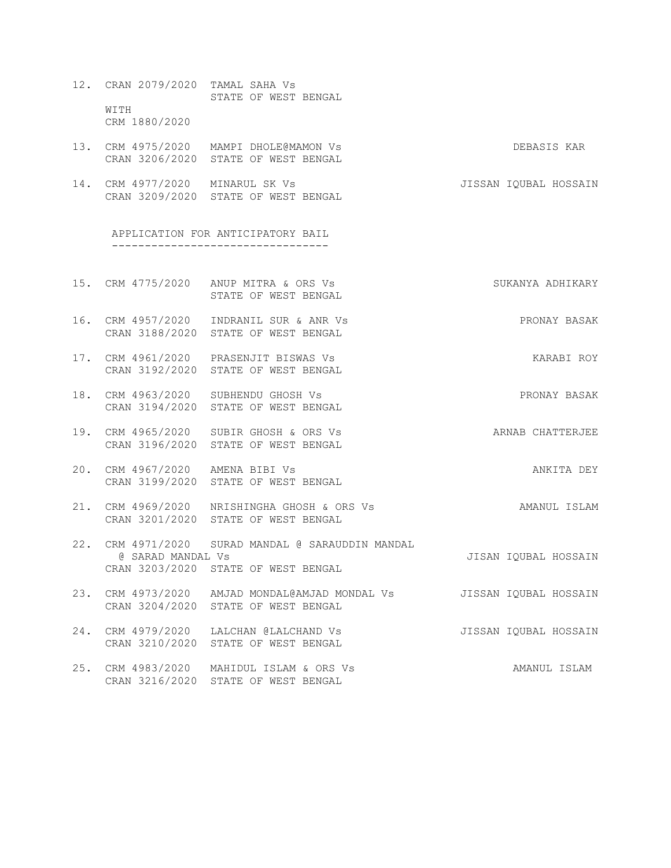- 12. CRAN 2079/2020 TAMAL SAHA Vs STATE OF WEST BENGAL WITH CRM 1880/2020
- 13. CRM 4975/2020 MAMPI DHOLE@MAMON Vs DEBASIS KAR CRAN 3206/2020 STATE OF WEST BENGAL
- 14. CRM 4977/2020 MINARUL SK Vs JISSAN IQUBAL HOSSAIN CRAN 3209/2020 STATE OF WEST BENGAL

APPLICATION FOR ANTICIPATORY BAIL ---------------------------------

- 15. CRM 4775/2020 ANUP MITRA & ORS Vs SUKANYA ADHIKARY STATE OF WEST BENGAL
- 16. CRM 4957/2020 INDRANIL SUR & ANR Vs PRONAY BASAK CRAN 3188/2020 STATE OF WEST BENGAL
- 17. CRM 4961/2020 PRASENJIT BISWAS Vs The CONSTRUCT CARABI ROY CRAN 3192/2020 STATE OF WEST BENGAL
- 18. CRM 4963/2020 SUBHENDU GHOSH Vs PRONAY BASAK CRAN 3194/2020 STATE OF WEST BENGAL
- 19. CRM 4965/2020 SUBIR GHOSH & ORS Vs ARNAB CHATTERJEE CRAN 3196/2020 STATE OF WEST BENGAL
- 20. CRM 4967/2020 AMENA BIBI Vs ANKITA DEY CRAN 3199/2020 STATE OF WEST BENGAL
- 21. CRM 4969/2020 NRISHINGHA GHOSH & ORS Vs AMANUL ISLAM CRAN 3201/2020 STATE OF WEST BENGAL
- 22. CRM 4971/2020 SURAD MANDAL @ SARAUDDIN MANDAL @ SARAD MANDAL Vs JISAN IQUBAL HOSSAIN CRAN 3203/2020 STATE OF WEST BENGAL
- 23. CRM 4973/2020 AMJAD MONDAL@AMJAD MONDAL Vs JISSAN IQUBAL HOSSAIN CRAN 3204/2020 STATE OF WEST BENGAL
- 24. CRM 4979/2020 LALCHAN @LALCHAND Vs JISSAN IQUBAL HOSSAIN CRAN 3210/2020 STATE OF WEST BENGAL
- 25. CRM 4983/2020 MAHIDUL ISLAM & ORS Vs AMANUL ISLAM CRAN 3216/2020 STATE OF WEST BENGAL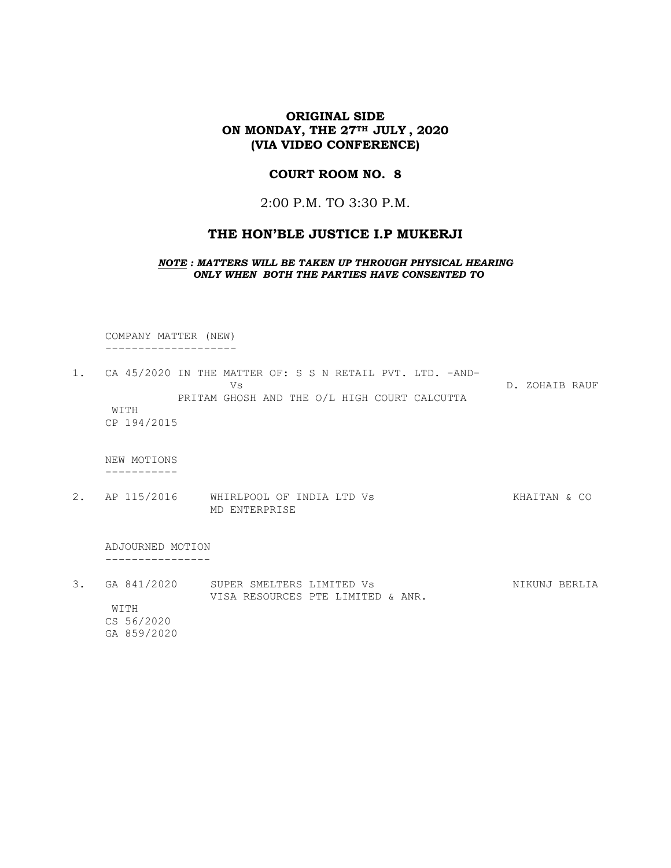#### **COURT ROOM NO. 8**

2:00 P.M. TO 3:30 P.M.

# **THE HON'BLE JUSTICE I.P MUKERJI**

*NOTE : MATTERS WILL BE TAKEN UP THROUGH PHYSICAL HEARING ONLY WHEN BOTH THE PARTIES HAVE CONSENTED TO*

 COMPANY MATTER (NEW) --------------------

1. CA 45/2020 IN THE MATTER OF: S S N RETAIL PVT. LTD. -AND-Vs D. ZOHAIB RAUF PRITAM GHOSH AND THE O/L HIGH COURT CALCUTTA WITH CP 194/2015

 NEW MOTIONS -----------

2. AP 115/2016 WHIRLPOOL OF INDIA LTD Vs KHAITAN & CO MD ENTERPRISE

 ADJOURNED MOTION ----------------

3. GA 841/2020 SUPER SMELTERS LIMITED Vs NIKUNJ BERLIA VISA RESOURCES PTE LIMITED & ANR. WITH CS 56/2020 GA 859/2020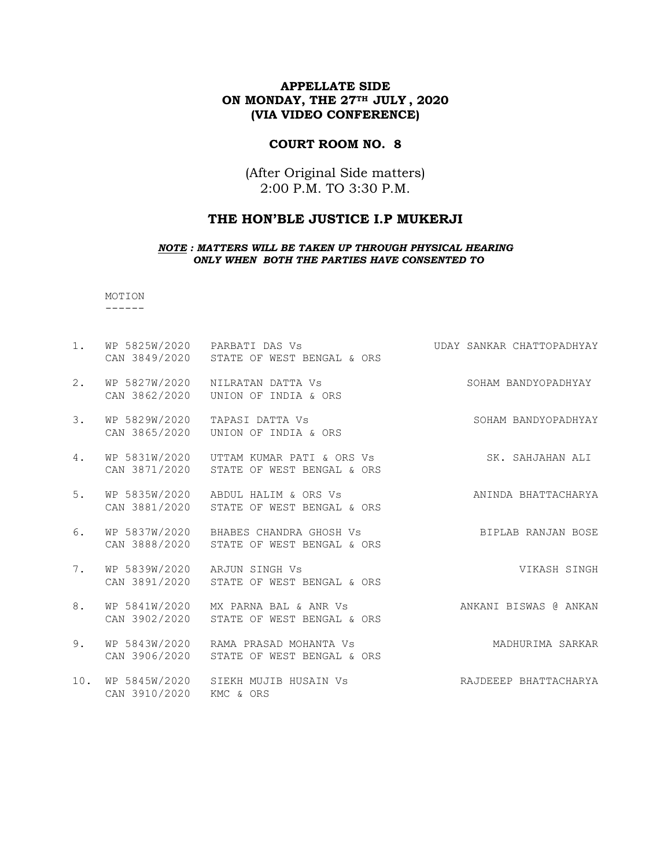#### **COURT ROOM NO. 8**

(After Original Side matters) 2:00 P.M. TO 3:30 P.M.

# **THE HON'BLE JUSTICE I.P MUKERJI**

#### *NOTE : MATTERS WILL BE TAKEN UP THROUGH PHYSICAL HEARING ONLY WHEN BOTH THE PARTIES HAVE CONSENTED TO*

 MOTION ------

1. WP 5825W/2020 PARBATI DAS Vs CHATTOPADHYAY CAN 3849/2020 STATE OF WEST BENGAL & ORS 2. WP 5827W/2020 NILRATAN DATTA Vs SOHAM BANDYOPADHYAY CAN 3862/2020 UNION OF INDIA & ORS 3. WP 5829W/2020 TAPASI DATTA Vs SOHAM BANDYOPADHYAY CAN 3865/2020 UNION OF INDIA & ORS 4. WP 5831W/2020 UTTAM KUMAR PATI & ORS Vs SK. SAHJAHAN ALI CAN 3871/2020 STATE OF WEST BENGAL & ORS 5. WP 5835W/2020 ABDUL HALIM & ORS Vs ANINDA BHATTACHARYA CAN 3881/2020 STATE OF WEST BENGAL & ORS 6. WP 5837W/2020 BHABES CHANDRA GHOSH Vs BIPLAB RANJAN BOSE CAN 3888/2020 STATE OF WEST BENGAL & ORS 7. WP 5839W/2020 ARJUN SINGH Vs Sand Control of Marshall VIKASH SINGH CAN 3891/2020 STATE OF WEST BENGAL & ORS 8. WP 5841W/2020 MX PARNA BAL & ANR Vs ANKANI BISWAS @ ANKAN CAN 3902/2020 STATE OF WEST BENGAL & ORS 9. WP 5843W/2020 RAMA PRASAD MOHANTA Vs Sand Manufurima Sarkar CAN 3906/2020 STATE OF WEST BENGAL & ORS 10. WP 5845W/2020 SIEKH MUJIB HUSAIN Vs RAJDEEEP BHATTACHARYA CAN 3910/2020 KMC & ORS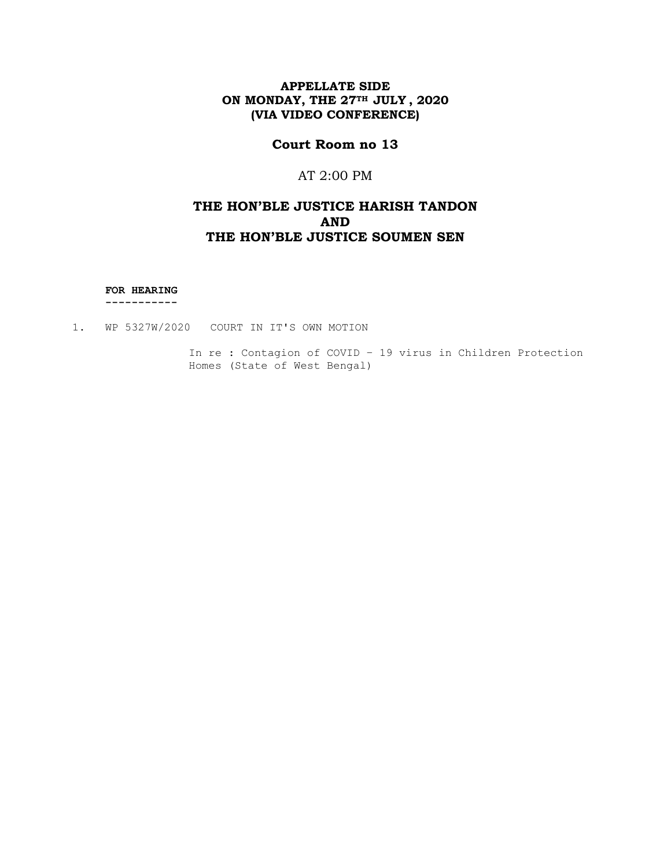# **Court Room no 13**

# AT 2:00 PM

# **THE HON'BLE JUSTICE HARISH TANDON AND THE HON'BLE JUSTICE SOUMEN SEN**

**FOR HEARING**

 **-----------**

1. WP 5327W/2020 COURT IN IT'S OWN MOTION

In re : Contagion of COVID – 19 virus in Children Protection Homes (State of West Bengal)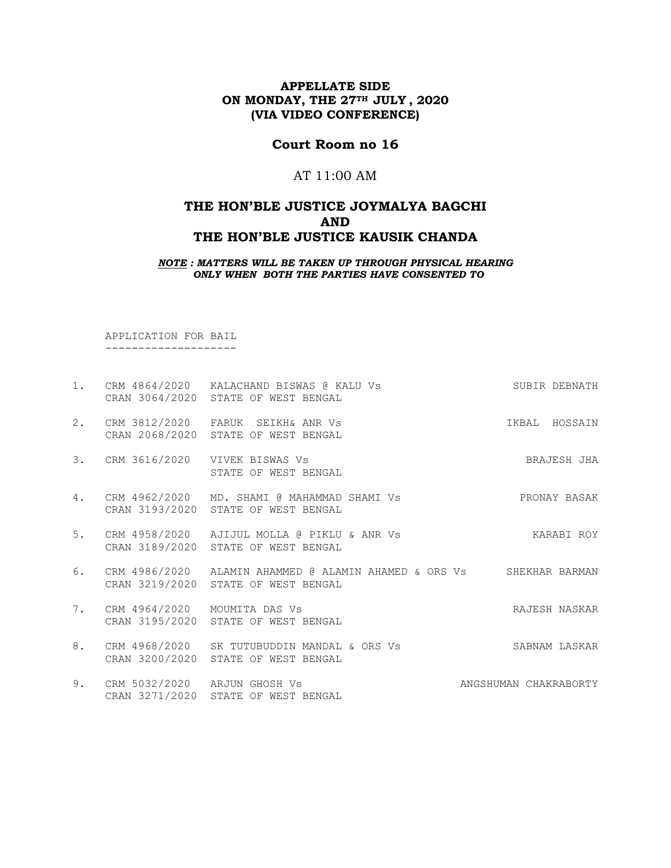# **Court Room no 16**

# AT 11:00 AM

# **THE HON'BLE JUSTICE JOYMALYA BAGCHI AND THE HON'BLE JUSTICE KAUSIK CHANDA**

*NOTE : MATTERS WILL BE TAKEN UP THROUGH PHYSICAL HEARING ONLY WHEN BOTH THE PARTIES HAVE CONSENTED TO*

 APPLICATION FOR BAIL --------------------

|    |                                 | 1. CRM 4864/2020 KALACHAND BISWAS @ KALU Vs<br>CRAN 3064/2020 STATE OF WEST BENGAL                          | SUBIR DEBNATH         |
|----|---------------------------------|-------------------------------------------------------------------------------------------------------------|-----------------------|
| 2. |                                 | CRM 3812/2020 FARUK SEIKH& ANR VS<br>CRAN 2068/2020 STATE OF WEST BENGAL                                    | IKBAL HOSSAIN         |
| 3. |                                 | CRM 3616/2020 VIVEK BISWAS Vs<br>STATE OF WEST BENGAL                                                       | BRAJESH JHA           |
|    |                                 | 4. CRM 4962/2020 MD. SHAMI @ MAHAMMAD SHAMI Vs<br>CRAN 3193/2020 STATE OF WEST BENGAL                       | PRONAY BASAK          |
| 5. |                                 | CRM 4958/2020 AJIJUL MOLLA @ PIKLU & ANR Vs<br>CRAN 3189/2020 STATE OF WEST BENGAL                          | KARABI ROY            |
| 6. |                                 | CRM 4986/2020 ALAMIN AHAMMED @ ALAMIN AHAMED & ORS Vs SHEKHAR BARMAN<br>CRAN 3219/2020 STATE OF WEST BENGAL |                       |
|    | 7. CRM 4964/2020 MOUMITA DAS Vs | CRAN 3195/2020 STATE OF WEST BENGAL                                                                         | RAJESH NASKAR         |
| 8. | CRM 4968/2020<br>CRAN 3200/2020 | SK TUTUBUDDIN MANDAL & ORS Vs<br>STATE OF WEST BENGAL                                                       | SABNAM LASKAR         |
| 9. | CRM 5032/2020 ARJUN GHOSH Vs    | CRAN 3271/2020 STATE OF WEST BENGAL                                                                         | ANGSHUMAN CHAKRABORTY |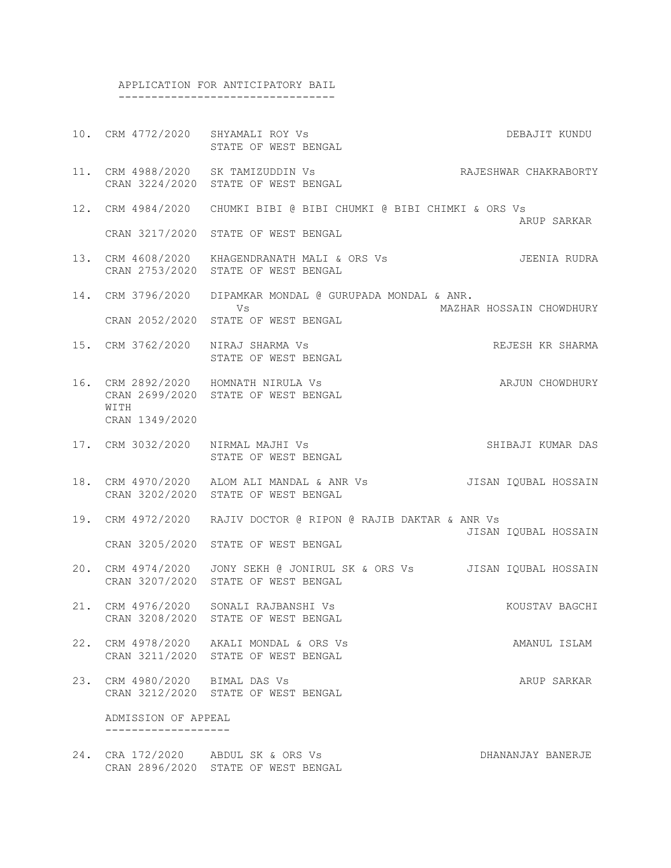#### APPLICATION FOR ANTICIPATORY BAIL ---------------------------------

- 10. CRM 4772/2020 SHYAMALI ROY Vs DEBAJIT KUNDU STATE OF WEST BENGAL
- 11. CRM 4988/2020 SK TAMIZUDDIN Vs RAJESHWAR CHAKRABORTY CRAN 3224/2020 STATE OF WEST BENGAL
- 12. CRM 4984/2020 CHUMKI BIBI @ BIBI CHUMKI @ BIBI CHIMKI & ORS Vs ARUP SARKAR CRAN 3217/2020 STATE OF WEST BENGAL
- 13. CRM 4608/2020 KHAGENDRANATH MALI & ORS Vs JEENIA RUDRA CRAN 2753/2020 STATE OF WEST BENGAL
- 14. CRM 3796/2020 DIPAMKAR MONDAL @ GURUPADA MONDAL & ANR. Vs MAZHAR HOSSAIN CHOWDHURY CRAN 2052/2020 STATE OF WEST BENGAL
- 15. CRM 3762/2020 NIRAJ SHARMA Vs REJESH KR SHARMA STATE OF WEST BENGAL
- 16. CRM 2892/2020 HOMNATH NIRULA Vs ARJUN CHOWDHURY CRAN 2699/2020 STATE OF WEST BENGAL WITH CRAN 1349/2020
- 17. CRM 3032/2020 NIRMAL MAJHI Vs SHIBAJI KUMAR DAS STATE OF WEST BENGAL
- 18. CRM 4970/2020 ALOM ALI MANDAL & ANR Vs JISAN IQUBAL HOSSAIN CRAN 3202/2020 STATE OF WEST BENGAL
- 19. CRM 4972/2020 RAJIV DOCTOR @ RIPON @ RAJIB DAKTAR & ANR Vs JISAN IQUBAL HOSSAIN CRAN 3205/2020 STATE OF WEST BENGAL
- 20. CRM 4974/2020 JONY SEKH @ JONIRUL SK & ORS Vs JISAN IQUBAL HOSSAIN CRAN 3207/2020 STATE OF WEST BENGAL
- 21. CRM 4976/2020 SONALI RAJBANSHI Vs KOUSTAV BAGCHI CRAN 3208/2020 STATE OF WEST BENGAL
- 22. CRM 4978/2020 AKALI MONDAL & ORS Vs AMANUL ISLAM CRAN 3211/2020 STATE OF WEST BENGAL
- 23. CRM 4980/2020 BIMAL DAS Vs ARUP SARKAR CRAN 3212/2020 STATE OF WEST BENGAL

 ADMISSION OF APPEAL -------------------

24. CRA 172/2020 ABDUL SK & ORS Vs CONSTRUCT THE DHANANJAY BANERJE CRAN 2896/2020 STATE OF WEST BENGAL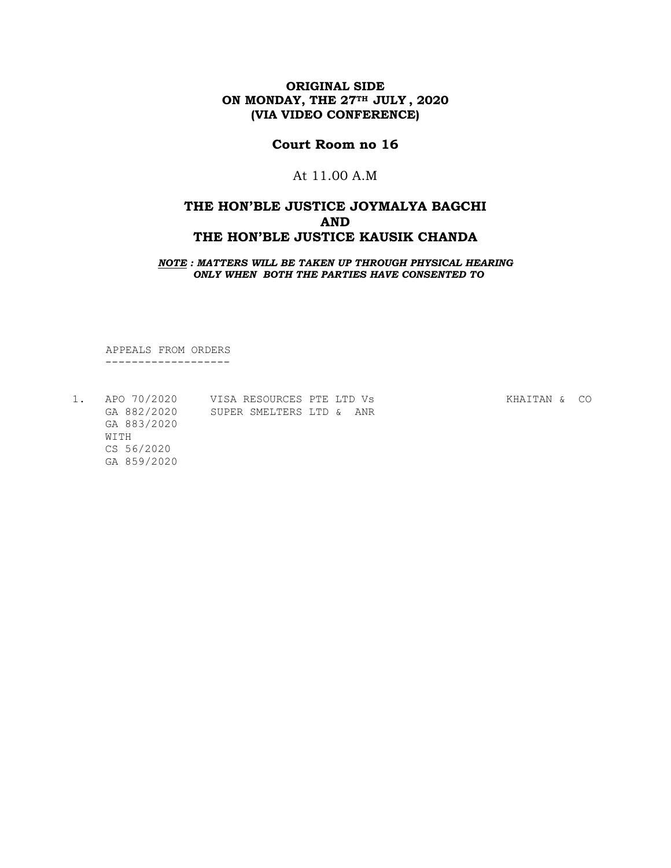# **Court Room no 16**

# At 11.00 A.M

# **THE HON'BLE JUSTICE JOYMALYA BAGCHI AND THE HON'BLE JUSTICE KAUSIK CHANDA**

*NOTE : MATTERS WILL BE TAKEN UP THROUGH PHYSICAL HEARING ONLY WHEN BOTH THE PARTIES HAVE CONSENTED TO*

APPEALS FROM ORDERS

-------------------

| APO 70/2020 | VISA RESOURCES PTE LTD Vs |  | KHAITAN & | CO. |
|-------------|---------------------------|--|-----------|-----|
| GA 882/2020 | SUPER SMELTERS LTD & ANR  |  |           |     |
| GA 883/2020 |                           |  |           |     |
| WTTH        |                           |  |           |     |
| CS 56/2020  |                           |  |           |     |
| GA 859/2020 |                           |  |           |     |
|             |                           |  |           |     |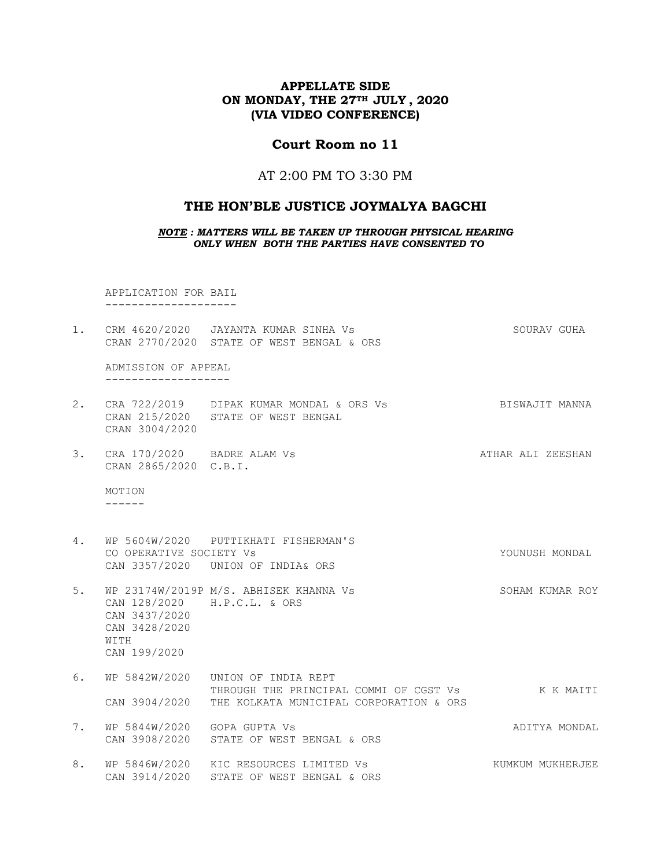### **Court Room no 11**

### AT 2:00 PM TO 3:30 PM

#### **THE HON'BLE JUSTICE JOYMALYA BAGCHI**

*NOTE : MATTERS WILL BE TAKEN UP THROUGH PHYSICAL HEARING ONLY WHEN BOTH THE PARTIES HAVE CONSENTED TO*

 APPLICATION FOR BAIL --------------------

1. CRM 4620/2020 JAYANTA KUMAR SINHA Vs SOURAV GUHA CRAN 2770/2020 STATE OF WEST BENGAL & ORS

 ADMISSION OF APPEAL -------------------

- 2. CRA 722/2019 DIPAK KUMAR MONDAL & ORS Vs BISWAJIT MANNA CRAN 215/2020 STATE OF WEST BENGAL CRAN 3004/2020
- 3. CRA 170/2020 BADRE ALAM Vs **ATHAR ALI ZEESHAN** CRAN 2865/2020 C.B.I.

 MOTION ------

4. WP 5604W/2020 PUTTIKHATI FISHERMAN'S CO OPERATIVE SOCIETY Vs Subset of the Contract of Contract of Contract of Contract of Contract of Contract of Contract of Contract of Contract of Contract of Contract of Contract of Contract of Contract of Contract of Cont CAN 3357/2020 UNION OF INDIA& ORS

5. WP 23174W/2019P M/S. ABHISEK KHANNA Vs SOHAM KUMAR ROY CAN 128/2020 H.P.C.L. & ORS CAN 3437/2020 CAN 3428/2020 WITH CAN 199/2020

- 6. WP 5842W/2020 UNION OF INDIA REPT THROUGH THE PRINCIPAL COMMI OF CGST Vs K K MAITI CAN 3904/2020 THE KOLKATA MUNICIPAL CORPORATION & ORS
- 7. WP 5844W/2020 GOPA GUPTA Vs **ADITYA MONDAL** CAN 3908/2020 STATE OF WEST BENGAL & ORS
- 8. WP 5846W/2020 KIC RESOURCES LIMITED Vs Sand Mucham KUMKUM MUKHERJEE CAN 3914/2020 STATE OF WEST BENGAL & ORS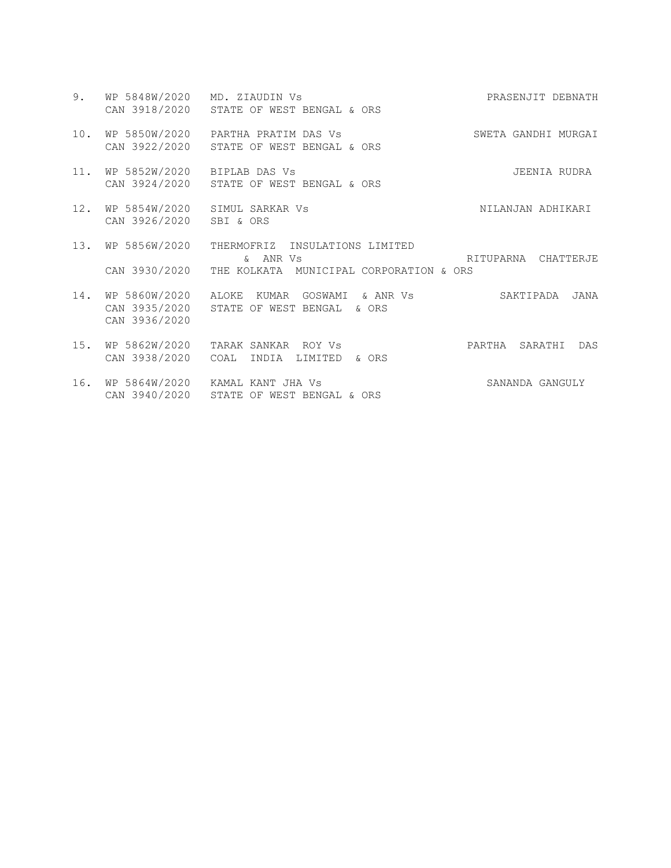9. WP 5848W/2020 MD. ZIAUDIN Vs PRASENJIT DEBNATH CAN 3918/2020 STATE OF WEST BENGAL & ORS 10. WP 5850W/2020 PARTHA PRATIM DAS Vs SWETA GANDHI MURGAI CAN 3922/2020 STATE OF WEST BENGAL & ORS 11. WP 5852W/2020 BIPLAB DAS Vs JEENIA RUDRA CAN 3924/2020 STATE OF WEST BENGAL & ORS 12. WP 5854W/2020 SIMUL SARKAR Vs NILANJAN ADHIKARI CAN 3926/2020 SBI & ORS 13. WP 5856W/2020 THERMOFRIZ INSULATIONS LIMITED & ANR Vs RITUPARNA CHATTERJE CAN 3930/2020 THE KOLKATA MUNICIPAL CORPORATION & ORS 14. WP 5860W/2020 ALOKE KUMAR GOSWAMI & ANR Vs SAKTIPADA JANA CAN 3935/2020 STATE OF WEST BENGAL & ORS CAN 3936/2020 15. WP 5862W/2020 TARAK SANKAR ROY Vs PARTHA SARATHI DAS CAN 3938/2020 COAL INDIA LIMITED & ORS 16. WP 5864W/2020 KAMAL KANT JHA Vs SANANDA GANGULY CAN 3940/2020 STATE OF WEST BENGAL & ORS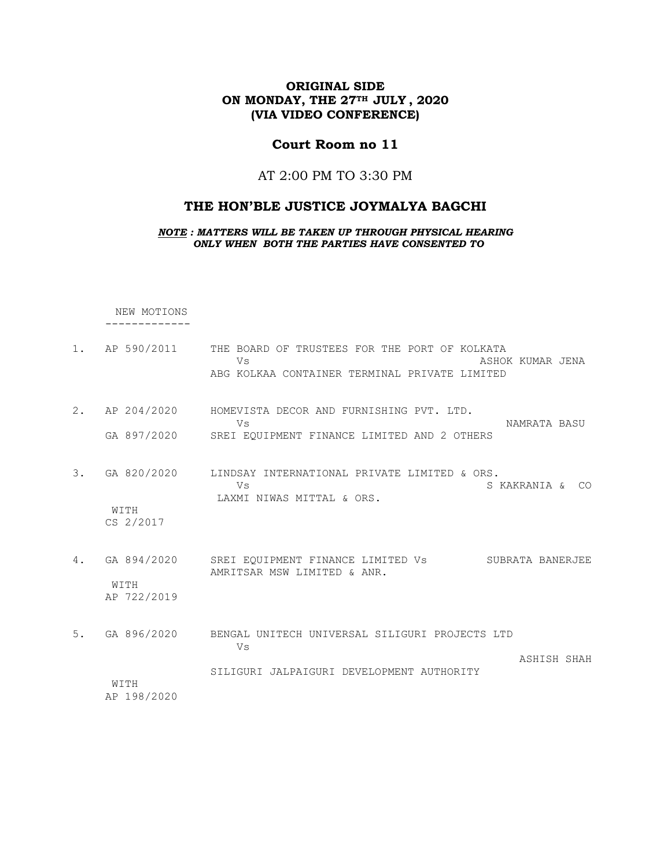# **Court Room no 11**

### AT 2:00 PM TO 3:30 PM

# **THE HON'BLE JUSTICE JOYMALYA BAGCHI**

*NOTE : MATTERS WILL BE TAKEN UP THROUGH PHYSICAL HEARING ONLY WHEN BOTH THE PARTIES HAVE CONSENTED TO*

NEW MOTIONS -------------

1. AP 590/2011 THE BOARD OF TRUSTEES FOR THE PORT OF KOLKATA Vs ASHOK KUMAR JENA ABG KOLKAA CONTAINER TERMINAL PRIVATE LIMITED 2. AP 204/2020 HOMEVISTA DECOR AND FURNISHING PVT. LTD. Vs NAMRATA BASU GA 897/2020 SREI EQUIPMENT FINANCE LIMITED AND 2 OTHERS 3. GA 820/2020 LINDSAY INTERNATIONAL PRIVATE LIMITED & ORS. Vs SKAKRANIA & CO LAXMI NIWAS MITTAL & ORS. WITH CS 2/2017 4. GA 894/2020 SREI EQUIPMENT FINANCE LIMITED Vs SUBRATA BANERJEE AMRITSAR MSW LIMITED & ANR. WITH AP 722/2019 5. GA 896/2020 BENGAL UNITECH UNIVERSAL SILIGURI PROJECTS LTD Vs ASHISH SHAH SILIGURI JALPAIGURI DEVELOPMENT AUTHORITY WITH AP 198/2020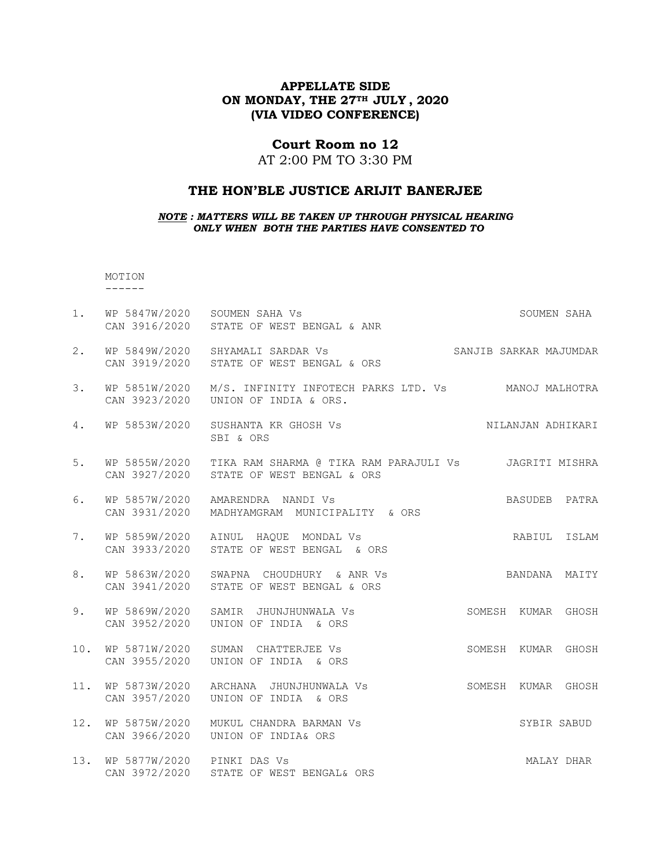### **Court Room no 12**

AT 2:00 PM TO 3:30 PM

#### **THE HON'BLE JUSTICE ARIJIT BANERJEE**

*NOTE : MATTERS WILL BE TAKEN UP THROUGH PHYSICAL HEARING ONLY WHEN BOTH THE PARTIES HAVE CONSENTED TO*

 MOTION ------

| 1.  | WP 5847W/2020 SOUMEN SAHA Vs<br>CAN 3916/2020 | STATE OF WEST BENGAL & ANR                                                          |        |                        | SOUMEN SAHA |
|-----|-----------------------------------------------|-------------------------------------------------------------------------------------|--------|------------------------|-------------|
| 2.  | WP 5849W/2020<br>CAN 3919/2020                | SHYAMALI SARDAR Vs<br>STATE OF WEST BENGAL & ORS                                    |        | SANJIB SARKAR MAJUMDAR |             |
| 3.  | WP 5851W/2020<br>CAN 3923/2020                | M/S. INFINITY INFOTECH PARKS LTD. Vs MANOJ MALHOTRA<br>UNION OF INDIA & ORS.        |        |                        |             |
| 4.  | WP 5853W/2020                                 | SUSHANTA KR GHOSH Vs<br>SBI & ORS                                                   |        | NILANJAN ADHIKARI      |             |
| 5.  | WP 5855W/2020<br>CAN 3927/2020                | TIKA RAM SHARMA @ TIKA RAM PARAJULI Vs JAGRITI MISHRA<br>STATE OF WEST BENGAL & ORS |        |                        |             |
| 6.  | WP 5857W/2020<br>CAN 3931/2020                | AMARENDRA NANDI VS<br>MADHYAMGRAM MUNICIPALITY & ORS                                |        | BASUDEB PATRA          |             |
| 7.  | WP 5859W/2020<br>CAN 3933/2020                | AINUL HAQUE MONDAL Vs<br>STATE OF WEST BENGAL & ORS                                 |        | RABIUL                 | ISLAM       |
| 8.  | WP 5863W/2020<br>CAN 3941/2020                | SWAPNA CHOUDHURY & ANR Vs<br>STATE OF WEST BENGAL & ORS                             |        | BANDANA                | MAITY       |
| 9.  | WP 5869W/2020<br>CAN 3952/2020                | SAMIR JHUNJHUNWALA Vs<br>UNION OF INDIA & ORS                                       |        | SOMESH KUMAR           | GHOSH       |
| 10. | WP 5871W/2020<br>CAN 3955/2020                | SUMAN CHATTERJEE Vs<br>UNION OF INDIA & ORS                                         | SOMESH | KUMAR                  | GHOSH       |
| 11. | WP 5873W/2020<br>CAN 3957/2020                | ARCHANA JHUNJHUNWALA VS<br>UNION OF INDIA & ORS                                     |        | SOMESH KUMAR           | GHOSH       |
| 12. | WP 5875W/2020<br>CAN 3966/2020                | MUKUL CHANDRA BARMAN Vs<br>UNION OF INDIA& ORS                                      |        | SYBIR SABUD            |             |
| 13. | WP 5877W/2020 PINKI DAS Vs<br>CAN 3972/2020   | STATE OF WEST BENGAL& ORS                                                           |        |                        | MALAY DHAR  |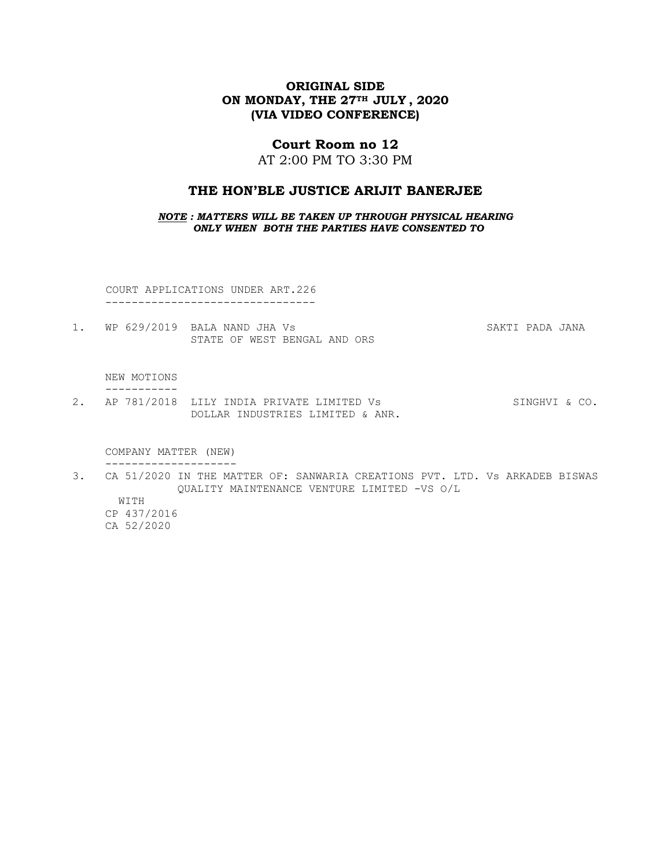#### **Court Room no 12**

AT 2:00 PM TO 3:30 PM

#### **THE HON'BLE JUSTICE ARIJIT BANERJEE**

*NOTE : MATTERS WILL BE TAKEN UP THROUGH PHYSICAL HEARING ONLY WHEN BOTH THE PARTIES HAVE CONSENTED TO*

COURT APPLICATIONS UNDER ART.226

--------------------------------

1. WP 629/2019 BALA NAND JHA Vs SAKTI PADA JANA STATE OF WEST BENGAL AND ORS

#### NEW MOTIONS -----------

2. AP 781/2018 LILY INDIA PRIVATE LIMITED Vs SINGHVI & CO. DOLLAR INDUSTRIES LIMITED & ANR.

 COMPANY MATTER (NEW) --------------------

3. CA 51/2020 IN THE MATTER OF: SANWARIA CREATIONS PVT. LTD. Vs ARKADEB BISWAS QUALITY MAINTENANCE VENTURE LIMITED -VS O/L

 WITH CP 437/2016 CA 52/2020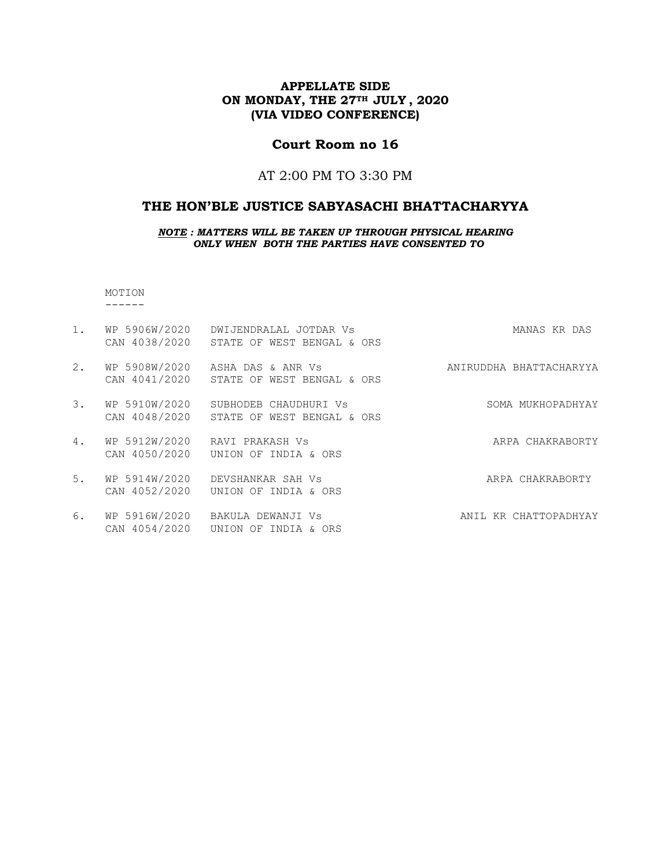# **Court Room no 16**

# AT 2:00 PM TO 3:30 PM

### **THE HON'BLE JUSTICE SABYASACHI BHATTACHARYYA**

*NOTE : MATTERS WILL BE TAKEN UP THROUGH PHYSICAL HEARING ONLY WHEN BOTH THE PARTIES HAVE CONSENTED TO*

MOTION

------

| 1. | WP 5906W/2020<br>CAN 4038/2020 | DWIJENDRALAL JOTDAR VS<br>STATE OF WEST BENGAL & ORS | MANAS KR DAS            |
|----|--------------------------------|------------------------------------------------------|-------------------------|
| 2. | WP 5908W/2020<br>CAN 4041/2020 | ASHA DAS & ANR Vs<br>STATE OF WEST BENGAL & ORS      | ANIRUDDHA BHATTACHARYYA |
| 3. | WP 5910W/2020<br>CAN 4048/2020 | SUBHODEB CHAUDHURI Vs<br>STATE OF WEST BENGAL & ORS  | SOMA MUKHOPADHYAY       |
| 4. | WP 5912W/2020<br>CAN 4050/2020 | RAVI PRAKASH Vs<br>UNION OF INDIA & ORS              | ARPA CHAKRABORTY        |
| 5. | WP 5914W/2020<br>CAN 4052/2020 | DEVSHANKAR SAH Vs<br>UNION OF INDIA & ORS            | ARPA CHAKRABORTY        |
| 6. | WP 5916W/2020<br>CAN 4054/2020 | BAKULA DEWANJI Vs<br>UNION OF INDIA & ORS            | ANIL KR CHATTOPADHYAY   |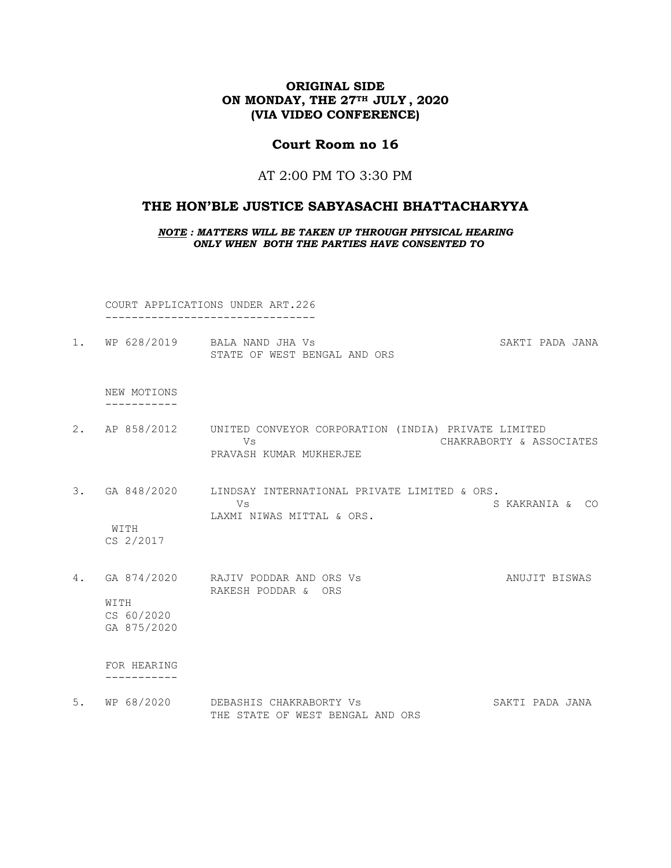# **Court Room no 16**

#### AT 2:00 PM TO 3:30 PM

#### **THE HON'BLE JUSTICE SABYASACHI BHATTACHARYYA**

*NOTE : MATTERS WILL BE TAKEN UP THROUGH PHYSICAL HEARING ONLY WHEN BOTH THE PARTIES HAVE CONSENTED TO*

 COURT APPLICATIONS UNDER ART.226 --------------------------------

1. WP 628/2019 BALA NAND JHA Vs SAKTI PADA JANA STATE OF WEST BENGAL AND ORS

 NEW MOTIONS -----------

- 2. AP 858/2012 UNITED CONVEYOR CORPORATION (INDIA) PRIVATE LIMITED Vs CHAKRABORTY & ASSOCIATES PRAVASH KUMAR MUKHERJEE
- 3. GA 848/2020 LINDSAY INTERNATIONAL PRIVATE LIMITED & ORS. Vs S KAKRANIA & CO LAXMI NIWAS MITTAL & ORS.

 WITH CS 2/2017

4. GA 874/2020 RAJIV PODDAR AND ORS Vs ANUJIT BISWAS RAKESH PODDAR & ORS WITH CS 60/2020 GA 875/2020

 FOR HEARING -----------

5. WP 68/2020 DEBASHIS CHAKRABORTY Vs SAKTI PADA JANA THE STATE OF WEST BENGAL AND ORS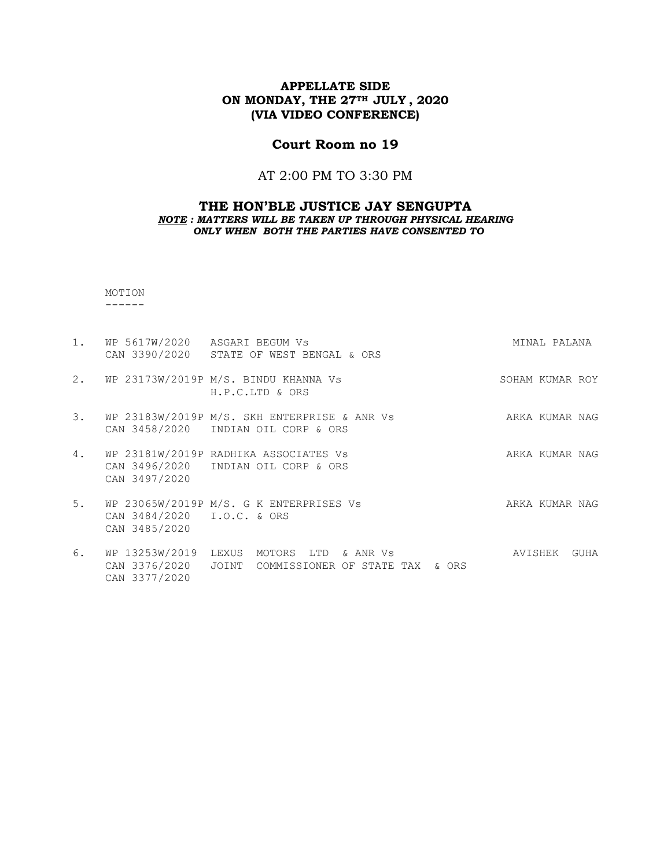# **Court Room no 19**

# AT 2:00 PM TO 3:30 PM

#### **THE HON'BLE JUSTICE JAY SENGUPTA** *NOTE : MATTERS WILL BE TAKEN UP THROUGH PHYSICAL HEARING ONLY WHEN BOTH THE PARTIES HAVE CONSENTED TO*

 MOTION ------

| $1$ .          | WP 5617W/2020 ASGARI BEGUM Vs                    | CAN 3390/2020 STATE OF WEST BENGAL & ORS                                             | MINAL PALANA    |
|----------------|--------------------------------------------------|--------------------------------------------------------------------------------------|-----------------|
| 2.             |                                                  | WP 23173W/2019P M/S. BINDU KHANNA Vs<br>H.P.C.LTD & ORS                              | SOHAM KUMAR ROY |
| $\mathbf{3}$ . | CAN 3458/2020                                    | WP 23183W/2019P M/S. SKH ENTERPRISE & ANR Vs<br>INDIAN OIL CORP & ORS                | ARKA KUMAR NAG  |
| 4.             | CAN 3497/2020                                    | WP 23181W/2019P RADHIKA ASSOCIATES Vs<br>CAN 3496/2020 INDIAN OIL CORP & ORS         | ARKA KUMAR NAG  |
| 5.             | CAN 3484/2020 I.O.C. & ORS<br>CAN 3485/2020      | WP 23065W/2019P M/S. G K ENTERPRISES Vs                                              | ARKA KUMAR NAG  |
| 6.             | WP 13253W/2019<br>CAN 3376/2020<br>CAN 3377/2020 | LEXUS<br>MOTORS<br>LTD<br>& ANR Vs<br>JOINT<br>COMMISSIONER OF<br>& ORS<br>STATE TAX | AVISHEK<br>GUHA |